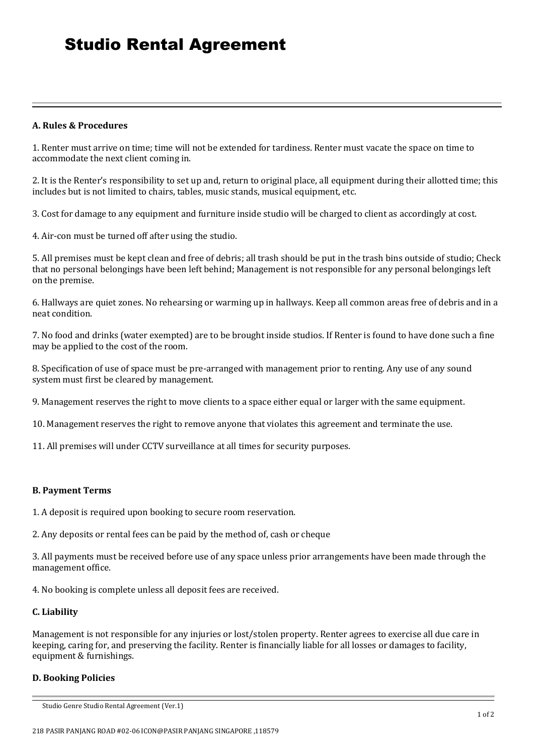#### **A. Rules & Procedures**

1. Renter must arrive on time; time will not be extended for tardiness. Renter must vacate the space on time to accommodate the next client coming in.

2. It is the Renter's responsibility to set up and, return to original place, all equipment during their allotted time; this includes but is not limited to chairs, tables, music stands, musical equipment, etc.

3. Cost for damage to any equipment and furniture inside studio will be charged to client as accordingly at cost.

4. Air-con must be turned off after using the studio.

5. All premises must be kept clean and free of debris; all trash should be put in the trash bins outside of studio; Check that no personal belongings have been left behind; Management is not responsible for any personal belongings left on the premise.

6. Hallways are quiet zones. No rehearsing or warming up in hallways. Keep all common areas free of debris and in a neat condition.

7. No food and drinks (water exempted) are to be brought inside studios. If Renter is found to have done such a fine may be applied to the cost of the room.

8. Specification of use of space must be pre-arranged with management prior to renting. Any use of any sound system must first be cleared by management.

9. Management reserves the right to move clients to a space either equal or larger with the same equipment.

10. Management reserves the right to remove anyone that violates this agreement and terminate the use.

11. All premises will under CCTV surveillance at all times for security purposes.

# **B. Payment Terms**

1. A deposit is required upon booking to secure room reservation.

2. Any deposits or rental fees can be paid by the method of, cash or cheque

3. All payments must be received before use of any space unless prior arrangements have been made through the management office.

4. No booking is complete unless all deposit fees are received.

# **C. Liability**

Management is not responsible for any injuries or lost/stolen property. Renter agrees to exercise all due care in keeping, caring for, and preserving the facility. Renter is financially liable for all losses or damages to facility, equipment & furnishings.

# **D. Booking Policies**

Studio Genre Studio Rental Agreement (Ver.1)